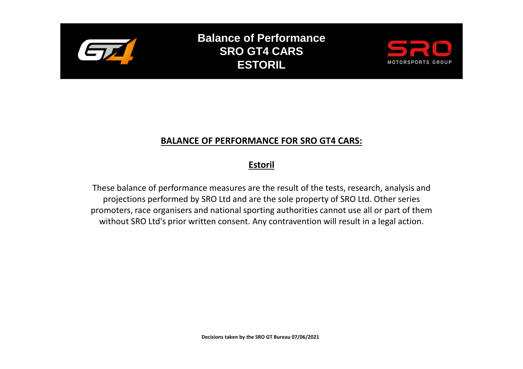

**Balance of Performance SRO GT4 CARS ESTORIL**



## **BALANCE OF PERFORMANCE FOR SRO GT4 CARS:**

## **Estoril**

These balance of performance measures are the result of the tests, research, analysis and projections performed by SRO Ltd and are the sole property of SRO Ltd. Other series promoters, race organisers and national sporting authorities cannot use all or part of them without SRO Ltd's prior written consent. Any contravention will result in a legal action.